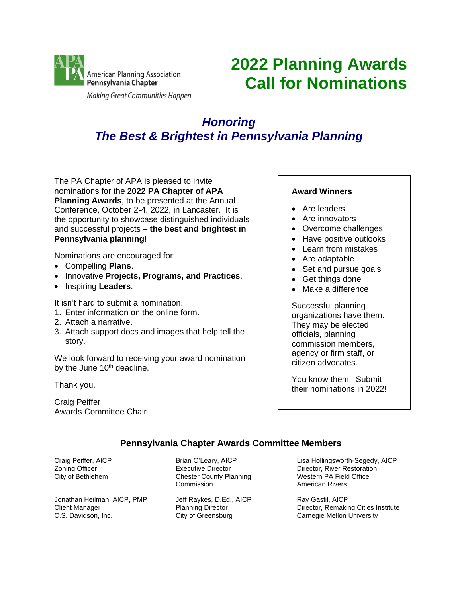

Making Great Communities Happen

# **2022 Planning Awards Call for Nominations**

# *Honoring The Best & Brightest in Pennsylvania Planning*

The PA Chapter of APA is pleased to invite nominations for the **2022 PA Chapter of APA Planning Awards**, to be presented at the Annual Conference, October 2-4, 2022, in Lancaster. It is the opportunity to showcase distinguished individuals and successful projects – **the best and brightest in Pennsylvania planning!**

Nominations are encouraged for:

- Compelling **Plans**.
- Innovative **Projects, Programs, and Practices**.
- Inspiring **Leaders**.

It isn't hard to submit a nomination.

- 1. Enter information on the online form.
- 2. Attach a narrative.
- 3. Attach support docs and images that help tell the story.

We look forward to receiving your award nomination by the June 10<sup>th</sup> deadline.

Thank you.

Craig Peiffer Awards Committee Chair

# **Award Winners**

- Are leaders
- Are innovators
- Overcome challenges
- Have positive outlooks
- Learn from mistakes
- Are adaptable
- Set and pursue goals
- Get things done
- Make a difference

Successful planning organizations have them. They may be elected officials, planning commission members, agency or firm staff, or citizen advocates.

You know them. Submit their nominations in 2022!

# **Pennsylvania Chapter Awards Committee Members**

Craig Peiffer, AICP Zoning Officer City of Bethlehem

Jonathan Heilman, AICP, PMP Client Manager C.S. Davidson, Inc.

Brian O'Leary, AICP Executive Director Chester County Planning **Commission** 

Jeff Raykes, D.Ed., AICP Planning Director City of Greensburg

Lisa Hollingsworth-Segedy, AICP Director, River Restoration Western PA Field Office American Rivers

Ray Gastil, AICP Director, Remaking Cities Institute Carnegie Mellon University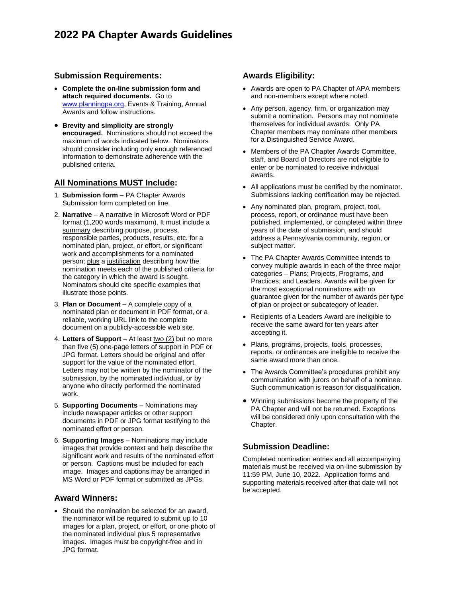# **2022 PA Chapter Awards Guidelines**

#### **Submission Requirements:**

- **Complete the on-line submission form and attach required documents.** Go to [www.planningpa.org,](http://www.planningpa.org/) Events & Training, Annual Awards and follow instructions.
- **Brevity and simplicity are strongly encouraged.** Nominations should not exceed the maximum of words indicated below. Nominators should consider including only enough referenced information to demonstrate adherence with the published criteria.

# **All Nominations MUST Include:**

- 1. **Submission form** PA Chapter Awards Submission form completed on line.
- 2. **Narrative** A narrative in Microsoft Word or PDF format (1,200 words maximum). It must include a summary describing purpose, process, responsible parties, products, results, etc. for a nominated plan, project, or effort, or significant work and accomplishments for a nominated person; plus a justification describing how the nomination meets each of the published criteria for the category in which the award is sought. Nominators should cite specific examples that illustrate those points.
- 3. **Plan or Document** A complete copy of a nominated plan or document in PDF format, or a reliable, working URL link to the complete document on a publicly-accessible web site.
- 4. Letters of Support At least two (2) but no more than five (5) one-page letters of support in PDF or JPG format. Letters should be original and offer support for the value of the nominated effort. Letters may not be written by the nominator of the submission, by the nominated individual, or by anyone who directly performed the nominated work.
- 5. **Supporting Documents** Nominations may include newspaper articles or other support documents in PDF or JPG format testifying to the nominated effort or person.
- 6. **Supporting Images** Nominations may include images that provide context and help describe the significant work and results of the nominated effort or person. Captions must be included for each image. Images and captions may be arranged in MS Word or PDF format or submitted as JPGs.

#### **Award Winners:**

• Should the nomination be selected for an award, the nominator will be required to submit up to 10 images for a plan, project, or effort, or one photo of the nominated individual plus 5 representative images. Images must be copyright-free and in JPG format.

### **Awards Eligibility:**

- Awards are open to PA Chapter of APA members and non-members except where noted.
- Any person, agency, firm, or organization may submit a nomination. Persons may not nominate themselves for individual awards. Only PA Chapter members may nominate other members for a Distinguished Service Award.
- Members of the PA Chapter Awards Committee, staff, and Board of Directors are not eligible to enter or be nominated to receive individual awards.
- All applications must be certified by the nominator. Submissions lacking certification may be rejected.
- Any nominated plan, program, project, tool, process, report, or ordinance must have been published, implemented, or completed within three years of the date of submission, and should address a Pennsylvania community, region, or subject matter.
- The PA Chapter Awards Committee intends to convey multiple awards in each of the three major categories – Plans; Projects, Programs, and Practices; and Leaders. Awards will be given for the most exceptional nominations with no guarantee given for the number of awards per type of plan or project or subcategory of leader.
- Recipients of a Leaders Award are ineligible to receive the same award for ten years after accepting it.
- Plans, programs, projects, tools, processes, reports, or ordinances are ineligible to receive the same award more than once.
- The Awards Committee's procedures prohibit any communication with jurors on behalf of a nominee. Such communication is reason for disqualification.
- Winning submissions become the property of the PA Chapter and will not be returned. Exceptions will be considered only upon consultation with the Chapter.

# **Submission Deadline:**

Completed nomination entries and all accompanying materials must be received via on-line submission by 11:59 PM, June 10, 2022. Application forms and supporting materials received after that date will not be accepted.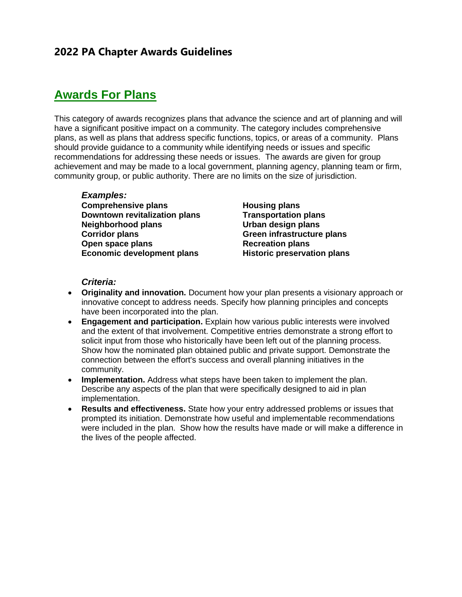# **2022 PA Chapter Awards Guidelines**

# **Awards For Plans**

This category of awards recognizes plans that advance the science and art of planning and will have a significant positive impact on a community. The category includes comprehensive plans, as well as plans that address specific functions, topics, or areas of a community. Plans should provide guidance to a community while identifying needs or issues and specific recommendations for addressing these needs or issues. The awards are given for group achievement and may be made to a local government, planning agency, planning team or firm, community group, or public authority. There are no limits on the size of jurisdiction.

### *Examples:*

**Comprehensive plans Downtown revitalization plans Neighborhood plans Corridor plans Open space plans Economic development plans** **Housing plans Transportation plans Urban design plans Green infrastructure plans Recreation plans Historic preservation plans**

### *Criteria:*

- **Originality and innovation.** Document how your plan presents a visionary approach or innovative concept to address needs. Specify how planning principles and concepts have been incorporated into the plan.
- **Engagement and participation.** Explain how various public interests were involved and the extent of that involvement. Competitive entries demonstrate a strong effort to solicit input from those who historically have been left out of the planning process. Show how the nominated plan obtained public and private support. Demonstrate the connection between the effort's success and overall planning initiatives in the community.
- **Implementation.** Address what steps have been taken to implement the plan. Describe any aspects of the plan that were specifically designed to aid in plan implementation.
- **Results and effectiveness.** State how your entry addressed problems or issues that prompted its initiation. Demonstrate how useful and implementable recommendations were included in the plan. Show how the results have made or will make a difference in the lives of the people affected.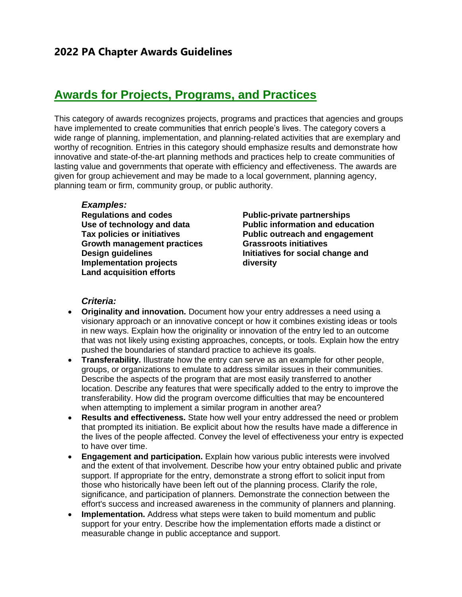# **Awards for Projects, Programs, and Practices**

This category of awards recognizes projects, programs and practices that agencies and groups have implemented to create communities that enrich people's lives. The category covers a wide range of planning, implementation, and planning-related activities that are exemplary and worthy of recognition. Entries in this category should emphasize results and demonstrate how innovative and state-of-the-art planning methods and practices help to create communities of lasting value and governments that operate with efficiency and effectiveness. The awards are given for group achievement and may be made to a local government, planning agency, planning team or firm, community group, or public authority.

### *Examples:*

**Regulations and codes Use of technology and data Tax policies or initiatives Growth management practices Design guidelines Implementation projects Land acquisition efforts**

**Public-private partnerships Public information and education Public outreach and engagement Grassroots initiatives Initiatives for social change and diversity**

### *Criteria:*

- **Originality and innovation.** Document how your entry addresses a need using a visionary approach or an innovative concept or how it combines existing ideas or tools in new ways. Explain how the originality or innovation of the entry led to an outcome that was not likely using existing approaches, concepts, or tools. Explain how the entry pushed the boundaries of standard practice to achieve its goals.
- **Transferability.** Illustrate how the entry can serve as an example for other people, groups, or organizations to emulate to address similar issues in their communities. Describe the aspects of the program that are most easily transferred to another location. Describe any features that were specifically added to the entry to improve the transferability. How did the program overcome difficulties that may be encountered when attempting to implement a similar program in another area?
- **Results and effectiveness.** State how well your entry addressed the need or problem that prompted its initiation. Be explicit about how the results have made a difference in the lives of the people affected. Convey the level of effectiveness your entry is expected to have over time.
- **Engagement and participation.** Explain how various public interests were involved and the extent of that involvement. Describe how your entry obtained public and private support. If appropriate for the entry, demonstrate a strong effort to solicit input from those who historically have been left out of the planning process. Clarify the role, significance, and participation of planners. Demonstrate the connection between the effort's success and increased awareness in the community of planners and planning.
- **Implementation.** Address what steps were taken to build momentum and public support for your entry. Describe how the implementation efforts made a distinct or measurable change in public acceptance and support.